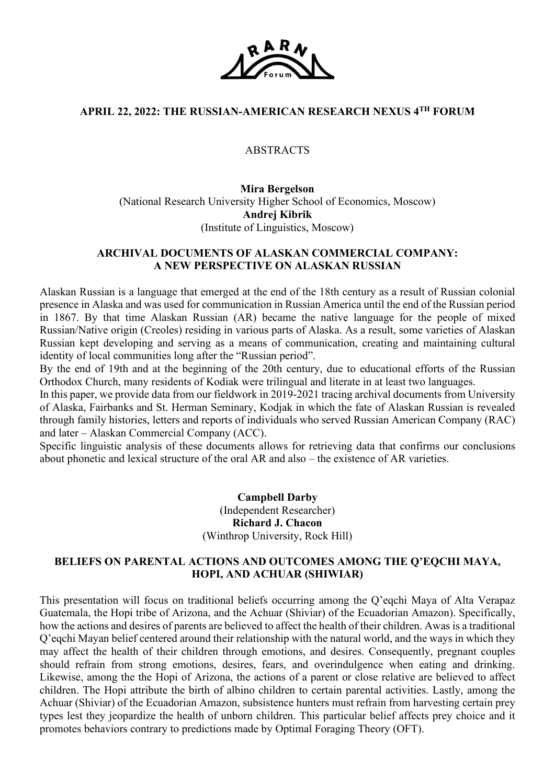

# **APRIL 22, 2022: THE RUSSIAN-AMERICAN RESEARCH NEXUS 4TH FORUM**

# ABSTRACTS

**Mira Bergelson** (National Research University Higher School of Economics, Moscow) **Andrej Kibrik** (Institute of Linguistics, Moscow)

# **ARCHIVAL DOCUMENTS OF ALASKAN COMMERCIAL COMPANY: A NEW PERSPECTIVE ON ALASKAN RUSSIAN**

Alaskan Russian is a language that emerged at the end of the 18th century as a result of Russian colonial presence in Alaska and was used for communication in Russian America until the end of the Russian period in 1867. By that time Alaskan Russian (AR) became the native language for the people of mixed Russian/Native origin (Creoles) residing in various parts of Alaska. As a result, some varieties of Alaskan Russian kept developing and serving as a means of communication, creating and maintaining cultural identity of local communities long after the "Russian period".

By the end of 19th and at the beginning of the 20th century, due to educational efforts of the Russian Orthodox Church, many residents of Kodiak were trilingual and literate in at least two languages.

In this paper, we provide data from our fieldwork in 2019-2021 tracing archival documents from University of Alaska, Fairbanks and St. Herman Seminary, Kodjak in which the fate of Alaskan Russian is revealed through family histories, letters and reports of individuals who served Russian American Company (RAC) and later – Alaskan Commercial Company (ACC).

Specific linguistic analysis of these documents allows for retrieving data that confirms our conclusions about phonetic and lexical structure of the oral AR and also – the existence of AR varieties.

> **Campbell Darby** (Independent Researcher) **Richard J. Chacon** (Winthrop University, Rock Hill)

# **BELIEFS ON PARENTAL ACTIONS AND OUTCOMES AMONG THE Q'EQCHI MAYA, HOPI, AND ACHUAR (SHIWIAR)**

This presentation will focus on traditional beliefs occurring among the Q'eqchi Maya of Alta Verapaz Guatemala, the Hopi tribe of Arizona, and the Achuar (Shiviar) of the Ecuadorian Amazon). Specifically, how the actions and desires of parents are believed to affect the health of their children. Awas is a traditional Q'eqchi Mayan belief centered around their relationship with the natural world, and the ways in which they may affect the health of their children through emotions, and desires. Consequently, pregnant couples should refrain from strong emotions, desires, fears, and overindulgence when eating and drinking. Likewise, among the the Hopi of Arizona, the actions of a parent or close relative are believed to affect children. The Hopi attribute the birth of albino children to certain parental activities. Lastly, among the Achuar (Shiviar) of the Ecuadorian Amazon, subsistence hunters must refrain from harvesting certain prey types lest they jeopardize the health of unborn children. This particular belief affects prey choice and it promotes behaviors contrary to predictions made by Optimal Foraging Theory (OFT).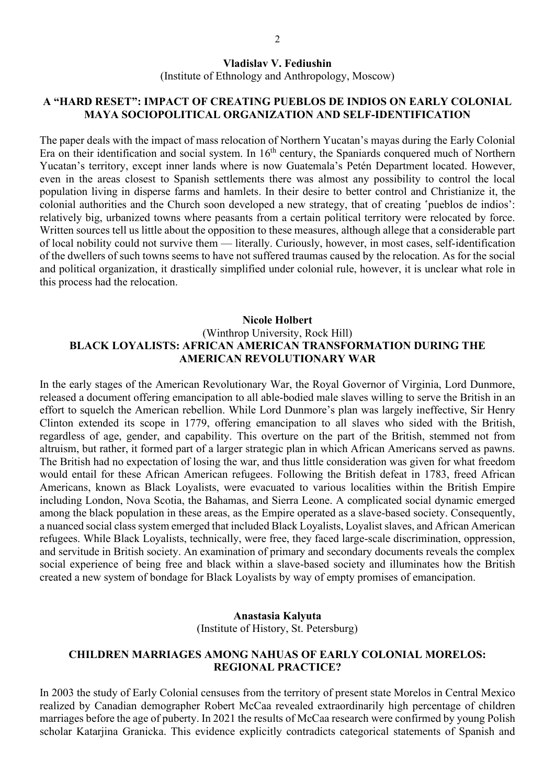## **Vladislav V. Fediushin**

(Institute of Ethnology and Anthropology, Moscow)

# **A "HARD RESET": IMPACT OF CREATING PUEBLOS DE INDIOS ON EARLY COLONIAL MAYA SOCIOPOLITICAL ORGANIZATION AND SELF-IDENTIFICATION**

The paper deals with the impact of mass relocation of Northern Yucatan's mayas during the Early Colonial Era on their identification and social system. In 16<sup>th</sup> century, the Spaniards conquered much of Northern Yucatan's territory, except inner lands where is now Guatemala's Petén Department located. However, even in the areas closest to Spanish settlements there was almost any possibility to control the local population living in disperse farms and hamlets. In their desire to better control and Christianize it, the colonial authorities and the Church soon developed a new strategy, that of creating 'pueblos de indios': relatively big, urbanized towns where peasants from a certain political territory were relocated by force. Written sources tell us little about the opposition to these measures, although allege that a considerable part of local nobility could not survive them — literally. Curiously, however, in most cases, self-identification of the dwellers of such towns seems to have not suffered traumas caused by the relocation. As for the social and political organization, it drastically simplified under colonial rule, however, it is unclear what role in this process had the relocation.

# **Nicole Holbert**

# (Winthrop University, Rock Hill) **BLACK LOYALISTS: AFRICAN AMERICAN TRANSFORMATION DURING THE AMERICAN REVOLUTIONARY WAR**

In the early stages of the American Revolutionary War, the Royal Governor of Virginia, Lord Dunmore, released a document offering emancipation to all able-bodied male slaves willing to serve the British in an effort to squelch the American rebellion. While Lord Dunmore's plan was largely ineffective, Sir Henry Clinton extended its scope in 1779, offering emancipation to all slaves who sided with the British, regardless of age, gender, and capability. This overture on the part of the British, stemmed not from altruism, but rather, it formed part of a larger strategic plan in which African Americans served as pawns. The British had no expectation of losing the war, and thus little consideration was given for what freedom would entail for these African American refugees. Following the British defeat in 1783, freed African Americans, known as Black Loyalists, were evacuated to various localities within the British Empire including London, Nova Scotia, the Bahamas, and Sierra Leone. A complicated social dynamic emerged among the black population in these areas, as the Empire operated as a slave-based society. Consequently, a nuanced social class system emerged that included Black Loyalists, Loyalist slaves, and African American refugees. While Black Loyalists, technically, were free, they faced large-scale discrimination, oppression, and servitude in British society. An examination of primary and secondary documents reveals the complex social experience of being free and black within a slave-based society and illuminates how the British created a new system of bondage for Black Loyalists by way of empty promises of emancipation.

### **Anastasia Kalyuta**

(Institute of History, St. Petersburg)

## **CHILDREN MARRIAGES AMONG NAHUAS OF EARLY COLONIAL MORELOS: REGIONAL PRACTICE?**

In 2003 the study of Early Colonial censuses from the territory of present state Morelos in Central Mexico realized by Canadian demographer Robert McCaa revealed extraordinarily high percentage of children marriages before the age of puberty. In 2021 the results of McCaa research were confirmed by young Polish scholar Katarjina Granicka. This evidence explicitly contradicts categorical statements of Spanish and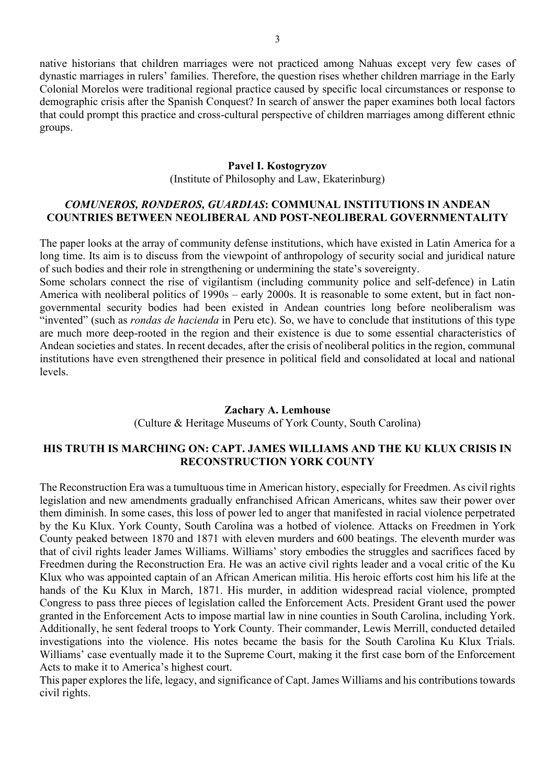native historians that children marriages were not practiced among Nahuas except very few cases of dynastic marriages in rulers' families. Therefore, the question rises whether children marriage in the Early Colonial Morelos were traditional regional practice caused by specific local circumstances or response to demographic crisis after the Spanish Conquest? In search of answer the paper examines both local factors that could prompt this practice and cross-cultural perspective of children marriages among different ethnic groups.

### **Pavel I. Kostogryzov**

(Institute of Philosophy and Law, Ekaterinburg)

# *COMUNEROS, RONDEROS, GUARDIAS***: COMMUNAL INSTITUTIONS IN ANDEAN COUNTRIES BETWEEN NEOLIBERAL AND POST-NEOLIBERAL GOVERNMENTALITY**

The paper looks at the array of community defense institutions, which have existed in Latin America for a long time. Its aim is to discuss from the viewpoint of anthropology of security social and juridical nature of such bodies and their role in strengthening or undermining the state's sovereignty.

Some scholars connect the rise of vigilantism (including community police and self-defence) in Latin America with neoliberal politics of 1990s – early 2000s. It is reasonable to some extent, but in fact nongovernmental security bodies had been existed in Andean countries long before neoliberalism was "invented" (such as *rondas de hacienda* in Peru etc). So, we have to conclude that institutions of this type are much more deep-rooted in the region and their existence is due to some essential characteristics of Andean societies and states. In recent decades, after the crisis of neoliberal politics in the region, communal institutions have even strengthened their presence in political field and consolidated at local and national levels.

### **Zachary A. Lemhouse**

(Culture & Heritage Museums of York County, South Carolina)

# **HIS TRUTH IS MARCHING ON: CAPT. JAMES WILLIAMS AND THE KU KLUX CRISIS IN RECONSTRUCTION YORK COUNTY**

The Reconstruction Era was a tumultuous time in American history, especially for Freedmen. As civil rights legislation and new amendments gradually enfranchised African Americans, whites saw their power over them diminish. In some cases, this loss of power led to anger that manifested in racial violence perpetrated by the Ku Klux. York County, South Carolina was a hotbed of violence. Attacks on Freedmen in York County peaked between 1870 and 1871 with eleven murders and 600 beatings. The eleventh murder was that of civil rights leader James Williams. Williams' story embodies the struggles and sacrifices faced by Freedmen during the Reconstruction Era. He was an active civil rights leader and a vocal critic of the Ku Klux who was appointed captain of an African American militia. His heroic efforts cost him his life at the hands of the Ku Klux in March, 1871. His murder, in addition widespread racial violence, prompted Congress to pass three pieces of legislation called the Enforcement Acts. President Grant used the power granted in the Enforcement Acts to impose martial law in nine counties in South Carolina, including York. Additionally, he sent federal troops to York County. Their commander, Lewis Merrill, conducted detailed investigations into the violence. His notes became the basis for the South Carolina Ku Klux Trials. Williams' case eventually made it to the Supreme Court, making it the first case born of the Enforcement Acts to make it to America's highest court.

This paper explores the life, legacy, and significance of Capt. James Williams and his contributions towards civil rights.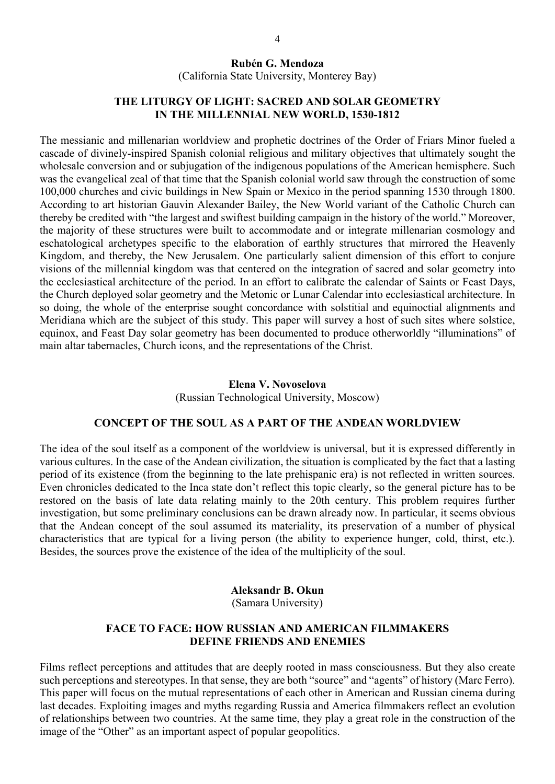### **Rubén G. Mendoza**

(California State University, Monterey Bay)

# **THE LITURGY OF LIGHT: SACRED AND SOLAR GEOMETRY IN THE MILLENNIAL NEW WORLD, 1530-1812**

The messianic and millenarian worldview and prophetic doctrines of the Order of Friars Minor fueled a cascade of divinely-inspired Spanish colonial religious and military objectives that ultimately sought the wholesale conversion and or subjugation of the indigenous populations of the American hemisphere. Such was the evangelical zeal of that time that the Spanish colonial world saw through the construction of some 100,000 churches and civic buildings in New Spain or Mexico in the period spanning 1530 through 1800. According to art historian Gauvin Alexander Bailey, the New World variant of the Catholic Church can thereby be credited with "the largest and swiftest building campaign in the history of the world." Moreover, the majority of these structures were built to accommodate and or integrate millenarian cosmology and eschatological archetypes specific to the elaboration of earthly structures that mirrored the Heavenly Kingdom, and thereby, the New Jerusalem. One particularly salient dimension of this effort to conjure visions of the millennial kingdom was that centered on the integration of sacred and solar geometry into the ecclesiastical architecture of the period. In an effort to calibrate the calendar of Saints or Feast Days, the Church deployed solar geometry and the Metonic or Lunar Calendar into ecclesiastical architecture. In so doing, the whole of the enterprise sought concordance with solstitial and equinoctial alignments and Meridiana which are the subject of this study. This paper will survey a host of such sites where solstice, equinox, and Feast Day solar geometry has been documented to produce otherworldly "illuminations" of main altar tabernacles, Church icons, and the representations of the Christ.

# **Elena V. Novoselova** (Russian Technological University, Moscow)

# **CONCEPT OF THE SOUL AS A PART OF THE ANDEAN WORLDVIEW**

The idea of the soul itself as a component of the worldview is universal, but it is expressed differently in various cultures. In the case of the Andean civilization, the situation is complicated by the fact that a lasting period of its existence (from the beginning to the late prehispanic era) is not reflected in written sources. Even chronicles dedicated to the Inca state don't reflect this topic clearly, so the general picture has to be restored on the basis of late data relating mainly to the 20th century. This problem requires further investigation, but some preliminary conclusions can be drawn already now. In particular, it seems obvious that the Andean concept of the soul assumed its materiality, its preservation of a number of physical characteristics that are typical for a living person (the ability to experience hunger, cold, thirst, etc.). Besides, the sources prove the existence of the idea of the multiplicity of the soul.

#### **Aleksandr B. Okun**

(Samara University)

## **FACE TO FACE: HOW RUSSIAN AND AMERICAN FILMMAKERS DEFINE FRIENDS AND ENEMIES**

Films reflect perceptions and attitudes that are deeply rooted in mass consciousness. But they also create such perceptions and stereotypes. In that sense, they are both "source" and "agents" of history (Marc Ferro). This paper will focus on the mutual representations of each other in American and Russian cinema during last decades. Exploiting images and myths regarding Russia and America filmmakers reflect an evolution of relationships between two countries. At the same time, they play a great role in the construction of the image of the "Other" as an important aspect of popular geopolitics.